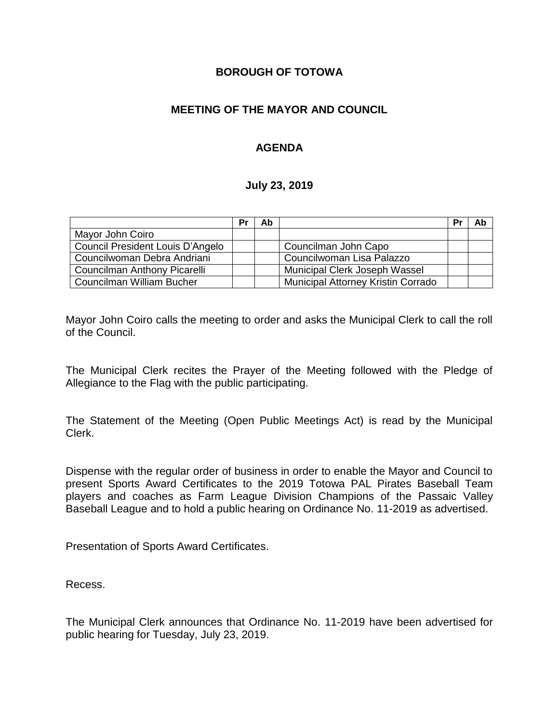### **BOROUGH OF TOTOWA**

### **MEETING OF THE MAYOR AND COUNCIL**

### **AGENDA**

#### **July 23, 2019**

|                                  | Pr | Ab |                                    | Pr | Ab |
|----------------------------------|----|----|------------------------------------|----|----|
| Mayor John Coiro                 |    |    |                                    |    |    |
| Council President Louis D'Angelo |    |    | Councilman John Capo               |    |    |
| Councilwoman Debra Andriani      |    |    | Councilwoman Lisa Palazzo          |    |    |
| Councilman Anthony Picarelli     |    |    | Municipal Clerk Joseph Wassel      |    |    |
| Councilman William Bucher        |    |    | Municipal Attorney Kristin Corrado |    |    |

Mayor John Coiro calls the meeting to order and asks the Municipal Clerk to call the roll of the Council.

The Municipal Clerk recites the Prayer of the Meeting followed with the Pledge of Allegiance to the Flag with the public participating.

The Statement of the Meeting (Open Public Meetings Act) is read by the Municipal Clerk.

Dispense with the regular order of business in order to enable the Mayor and Council to present Sports Award Certificates to the 2019 Totowa PAL Pirates Baseball Team players and coaches as Farm League Division Champions of the Passaic Valley Baseball League and to hold a public hearing on Ordinance No. 11-2019 as advertised.

Presentation of Sports Award Certificates.

Recess.

The Municipal Clerk announces that Ordinance No. 11-2019 have been advertised for public hearing for Tuesday, July 23, 2019.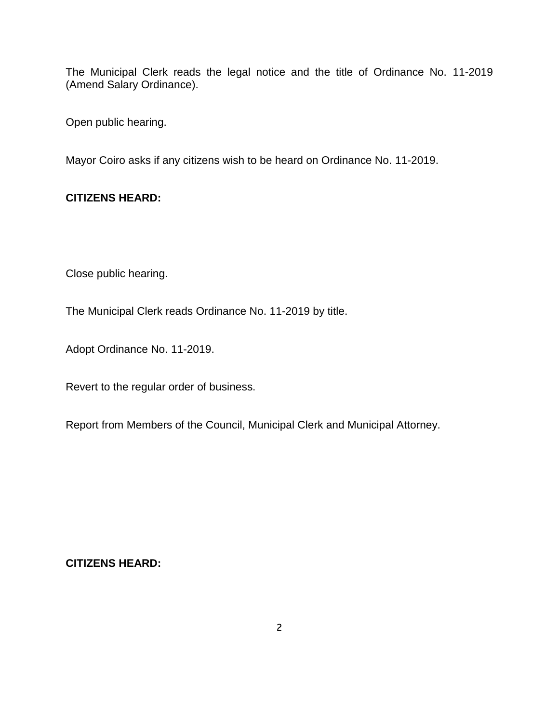The Municipal Clerk reads the legal notice and the title of Ordinance No. 11-2019 (Amend Salary Ordinance).

Open public hearing.

Mayor Coiro asks if any citizens wish to be heard on Ordinance No. 11-2019.

# **CITIZENS HEARD:**

Close public hearing.

The Municipal Clerk reads Ordinance No. 11-2019 by title.

Adopt Ordinance No. 11-2019.

Revert to the regular order of business.

Report from Members of the Council, Municipal Clerk and Municipal Attorney.

#### **CITIZENS HEARD:**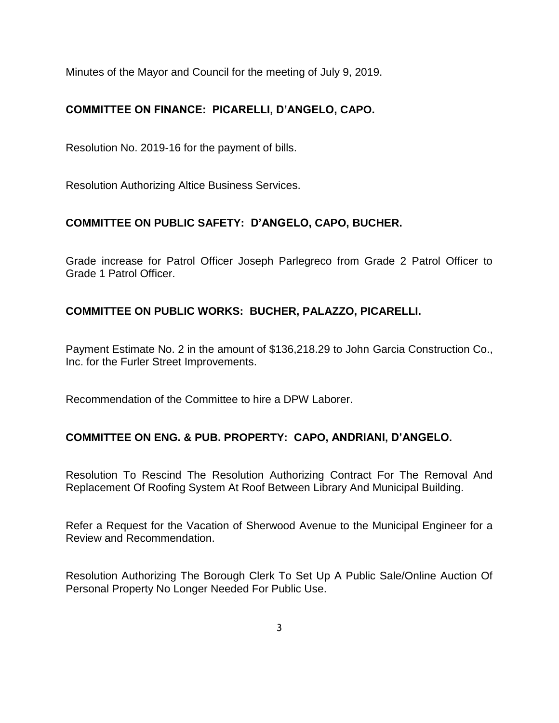Minutes of the Mayor and Council for the meeting of July 9, 2019.

# **COMMITTEE ON FINANCE: PICARELLI, D'ANGELO, CAPO.**

Resolution No. 2019-16 for the payment of bills.

Resolution Authorizing Altice Business Services.

# **COMMITTEE ON PUBLIC SAFETY: D'ANGELO, CAPO, BUCHER.**

Grade increase for Patrol Officer Joseph Parlegreco from Grade 2 Patrol Officer to Grade 1 Patrol Officer.

# **COMMITTEE ON PUBLIC WORKS: BUCHER, PALAZZO, PICARELLI.**

Payment Estimate No. 2 in the amount of \$136,218.29 to John Garcia Construction Co., Inc. for the Furler Street Improvements.

Recommendation of the Committee to hire a DPW Laborer.

# **COMMITTEE ON ENG. & PUB. PROPERTY: CAPO, ANDRIANI, D'ANGELO.**

Resolution To Rescind The Resolution Authorizing Contract For The Removal And Replacement Of Roofing System At Roof Between Library And Municipal Building.

Refer a Request for the Vacation of Sherwood Avenue to the Municipal Engineer for a Review and Recommendation.

Resolution Authorizing The Borough Clerk To Set Up A Public Sale/Online Auction Of Personal Property No Longer Needed For Public Use.